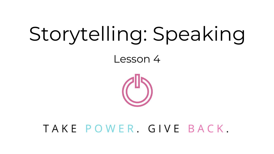# Storytelling: Speaking

Lesson 4



### TAKE POWER, GIVE BACK,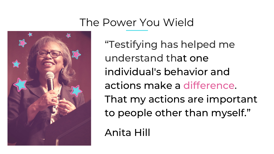### The Power You Wield



"Testifying has helped me understand that one individual's behavior and actions make a difference. That my actions are important to people other than myself."

Anita Hill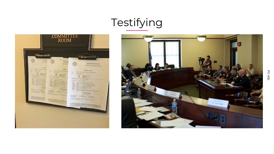# Testifying



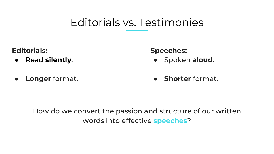### Editorials vs. Testimonies

**Editorials:**

● Read **silently**.

**Speeches:**

● Spoken **aloud**.

● **Longer** format.

● **Shorter** format.

How do we convert the passion and structure of our written words into effective **speeches**?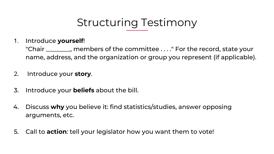### Structuring Testimony

1. Introduce **yourself**!

"Chair \_\_\_\_\_\_\_\_, members of the committee . . . ." For the record, state your name, address, and the organization or group you represent (if applicable).

- 2. Introduce your **story**.
- 3. Introduce your **beliefs** about the bill.
- 4. Discuss **why** you believe it: find statistics/studies, answer opposing arguments, etc.
- 5. Call to **action**: tell your legislator how you want them to vote!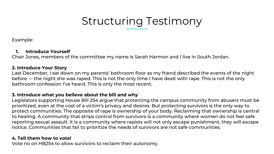### Structuring Testimony

Example:

#### **1. Introduce Yourself**

Chair Jones, members of the committee my name is Sarah Harmon and I live in South Jordan.

#### **2. Introduce Your Story**

Last December, I sat down on my parents' bathroom floor as my friend described the events of the night before — the night she was raped. This is not the only time I have dealt with rape. This is not the only bathroom confession I've heard. This is only the most recent.

#### **3. Introduce what you believe about the bill and why**

Legislators supporting House Bill 254 argue that protecting the campus community from abusers must be prioritized, even at the cost of a victim's privacy and desires. But protecting survivors is the only way to protect communities. The opposite of rape is ownership of your body. Reclaiming that ownership is central to healing. A community that strips control from survivors is a community where women do not feel safe reporting sexual assault. It is a community where rapists will not only escape punishment, they will escape notice. Communities that fail to prioritize the needs of survivors are not safe communities.

#### **4. Tell them how to vote!**

Vote no on HB254 to allow survivors to reclaim their autonomy.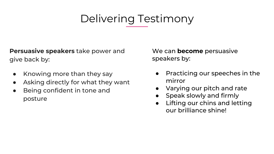## Delivering Testimony

**Persuasive speakers** take power and give back by:

- Knowing more than they say
- Asking directly for what they want
- Being confident in tone and posture

We can **become** persuasive speakers by:

- Practicing our speeches in the mirror
- Varying our pitch and rate
- Speak slowly and firmly
- Lifting our chins and letting our brilliance shine!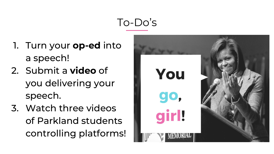## To-Do's

- 1. Turn your **op-ed** into a speech!
- 2. Submit a **video** of you delivering your speech.
- 3. Watch three videos of Parkland students controlling platforms!